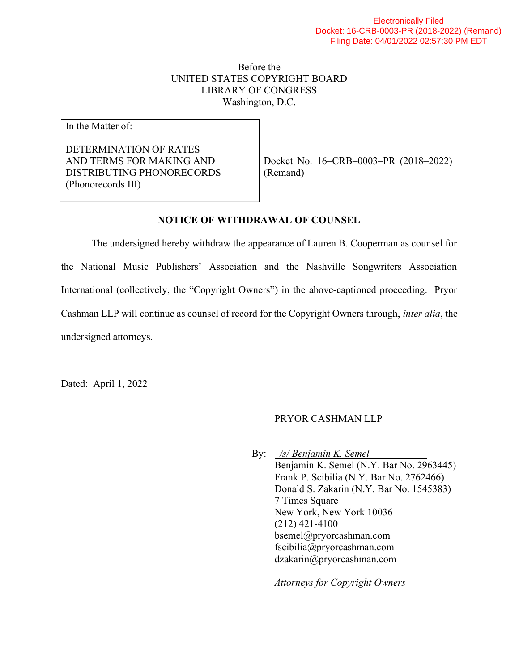## Before the UNITED STATES COPYRIGHT BOARD LIBRARY OF CONGRESS Washington, D.C.

In the Matter of:

DETERMINATION OF RATES AND TERMS FOR MAKING AND DISTRIBUTING PHONORECORDS (Phonorecords III)

Docket No. 16–CRB–0003–PR (2018–2022) (Remand)

## NOTICE OF WITHDRAWAL OF COUNSEL

The undersigned hereby withdraw the appearance of Lauren B. Cooperman as counsel for the National Music Publishers' Association and the Nashville Songwriters Association International (collectively, the "Copyright Owners") in the above-captioned proceeding. Pryor Cashman LLP will continue as counsel of record for the Copyright Owners through, inter alia, the undersigned attorneys.

Dated: April 1, 2022

## PRYOR CASHMAN LLP

 By: /s/ Benjamin K. Semel Benjamin K. Semel (N.Y. Bar No. 2963445) Frank P. Scibilia (N.Y. Bar No. 2762466) Donald S. Zakarin (N.Y. Bar No. 1545383) 7 Times Square New York, New York 10036 (212) 421-4100 bsemel@pryorcashman.com fscibilia@pryorcashman.com dzakarin@pryorcashman.com

Attorneys for Copyright Owners